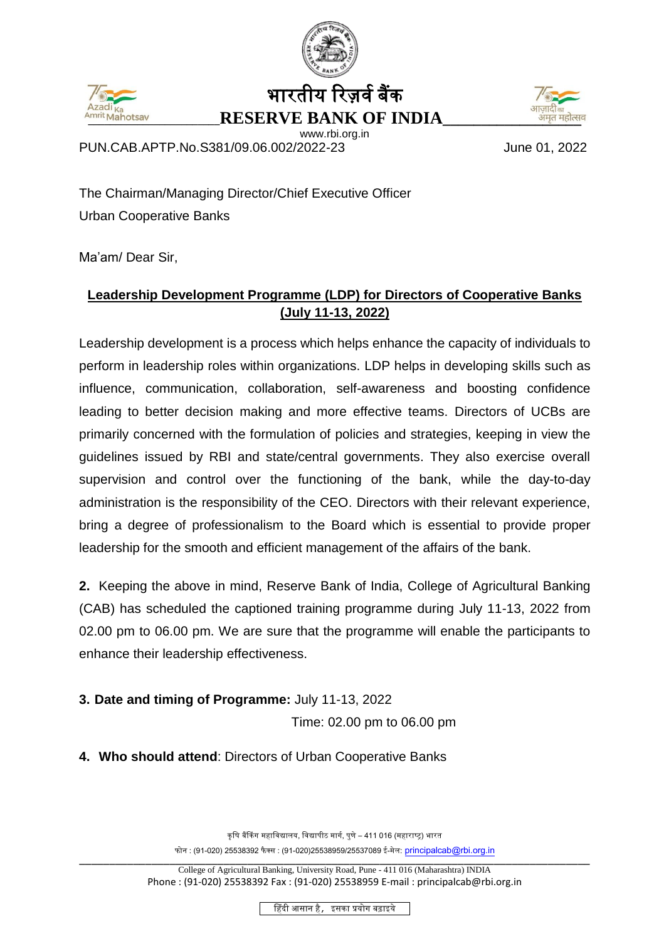



भारतीय रिजर्व बैंक **Mrit Mahotsav RESERVE BANK OF INDIA** 

www.rbi.org.in



PUN.CAB.APTP.No.S381/09.06.002/2022-23 June 01, 2022

The Chairman/Managing Director/Chief Executive Officer Urban Cooperative Banks

Ma'am/ Dear Sir,

## **Leadership Development Programme (LDP) for Directors of Cooperative Banks (July 11-13, 2022)**

Leadership development is a process which helps enhance the capacity of individuals to perform in [leadership](https://en.wikipedia.org/wiki/Leadership) roles within organizations. LDP helps in developing skills such as influence, communication, collaboration, self-awareness and boosting confidence leading to better decision making and more effective teams. Directors of UCBs are primarily concerned with the formulation of policies and strategies, keeping in view the guidelines issued by RBI and state/central governments. They also exercise overall supervision and control over the functioning of the bank, while the day-to-day administration is the responsibility of the CEO. Directors with their relevant experience, bring a degree of professionalism to the Board which is essential to provide proper leadership for the smooth and efficient management of the affairs of the bank.

**2.** Keeping the above in mind, Reserve Bank of India, College of Agricultural Banking (CAB) has scheduled the captioned training programme during July 11-13, 2022 from 02.00 pm to 06.00 pm. We are sure that the programme will enable the participants to enhance their leadership effectiveness.

**3. Date and timing of Programme:** July 11-13, 2022

Time: 02.00 pm to 06.00 pm

**4. Who should attend**: Directors of Urban Cooperative Banks

कृषि बैंकिंग महाविद्यालय, विद्यापीठ मार्ग, पुणे – 411 016 (महाराष्ट्र) भारत फोन : (91-020) 25538392 फैक्स : (91-020)25538959/25537089 ई-मेल: [principalcab@rbi.org.in](mailto:principalcab@rbi.org.in)

हहिंदी आसान है, इसका प्रयोग बढाइये